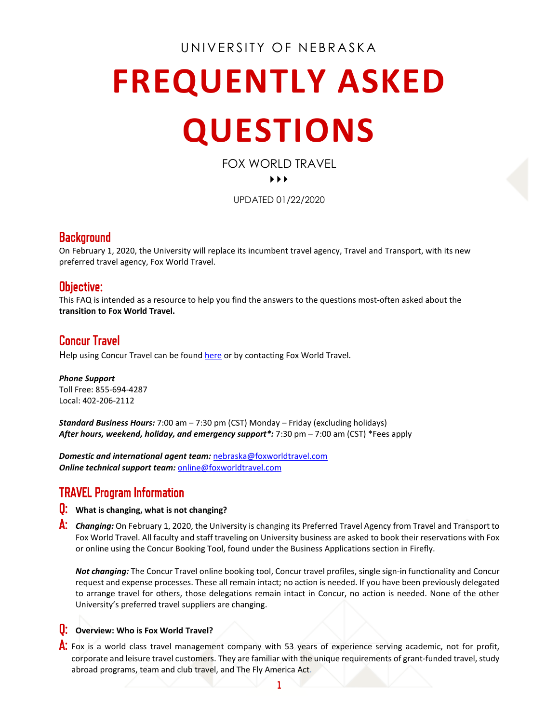## UNIVERSITY OF NEBRASKA

# **FREQUENTLY ASKED QUESTIONS**

FOX WORLD TRAVEL

#### $\blacktriangleright$

UPDATED 01/22/2020

## Background

On February 1, 2020, the University will replace its incumbent travel agency, Travel and Transport, with its new preferred travel agency, Fox World Travel.

### Objective:

This FAQ is intended as a resource to help you find the answers to the questions most-often asked about the **transition to Fox World Travel.**

## Concur Travel

Help using Concur Travel can be foun[d here](https://nebraska.edu/offices-policies/concur-help/concur-resources) or by contacting Fox World Travel.

*Phone Support* Toll Free: 855-694-4287 Local: 402-206-2112

*Standard Business Hours:* 7:00 am – 7:30 pm (CST) Monday – Friday (excluding holidays) *After hours, weekend, holiday, and emergency support\*:* 7:30 pm – 7:00 am (CST) \*Fees apply

*Domestic and international agent team:* [nebraska@foxworldtravel.com](mailto:nebraska@foxworldtravel.com) *Online technical support team:* [online@foxworldtravel.com](mailto:online@foxworldtravel.com)

# TRAVEL Program Information

#### Q: **What is changing, what is not changing?**

A: *Changing:* On February 1, 2020, the University is changing its Preferred Travel Agency from Travel and Transport to Fox World Travel. All faculty and staff traveling on University business are asked to book their reservations with Fox or online using the Concur Booking Tool, found under the Business Applications section in Firefly.

*Not changing:* The Concur Travel online booking tool, Concur travel profiles, single sign-in functionality and Concur request and expense processes. These all remain intact; no action is needed. If you have been previously delegated to arrange travel for others, those delegations remain intact in Concur, no action is needed. None of the other University's preferred travel suppliers are changing.

Q: **Overview: Who is Fox World Travel?**

A: Fox is a world class travel management company with 53 years of experience serving academic, not for profit, corporate and leisure travel customers. They are familiar with the unique requirements of grant-funded travel, study abroad programs, team and club travel, and The Fly America Act.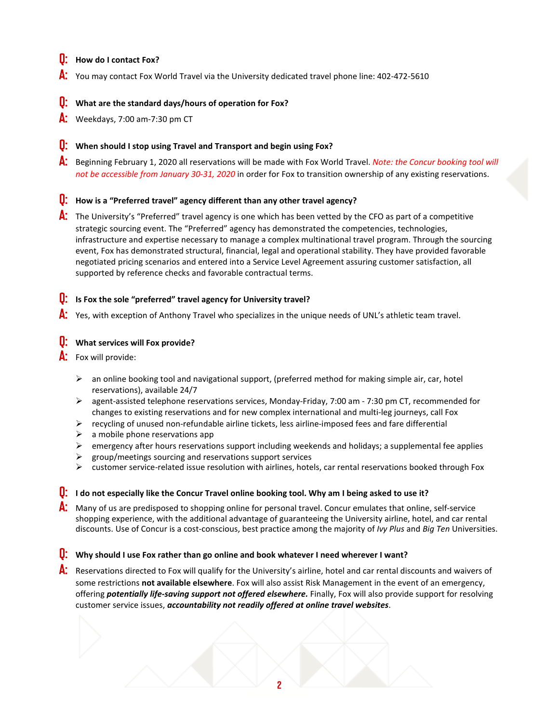#### Q: **How do I contact Fox?**

A: You may contact Fox World Travel via the University dedicated travel phone line: 402-472-5610

#### Q: **What are the standard days/hours of operation for Fox?**

A: Weekdays, 7:00 am-7:30 pm CT

#### Q: **When should I stop using Travel and Transport and begin using Fox?**

A: Beginning February 1, 2020 all reservations will be made with Fox World Travel. *Note: the Concur booking tool will not be accessible from January 30-31, 2020* in order for Fox to transition ownership of any existing reservations.

#### Q: **How is a "Preferred travel" agency different than any other travel agency?**

A: The University's "Preferred" travel agency is one which has been vetted by the CFO as part of a competitive strategic sourcing event. The "Preferred" agency has demonstrated the competencies, technologies, infrastructure and expertise necessary to manage a complex multinational travel program. Through the sourcing event, Fox has demonstrated structural, financial, legal and operational stability. They have provided favorable negotiated pricing scenarios and entered into a Service Level Agreement assuring customer satisfaction, all supported by reference checks and favorable contractual terms.

#### **U:** Is Fox the sole "preferred" travel agency for University travel?

A: Yes, with exception of Anthony Travel who specializes in the unique needs of UNL's athletic team travel.

#### Q: **What services will Fox provide?**

Fox will provide:

- an online booking tool and navigational support, (preferred method for making simple air, car, hotel reservations), available 24/7
- $\triangleright$  agent-assisted telephone reservations services, Monday-Friday, 7:00 am 7:30 pm CT, recommended for changes to existing reservations and for new complex international and multi-leg journeys, call Fox
- $\triangleright$  recycling of unused non-refundable airline tickets, less airline-imposed fees and fare differential
- $\triangleright$  a mobile phone reservations app
- emergency after hours reservations support including weekends and holidays; a supplemental fee applies
- group/meetings sourcing and reservations support services
- customer service-related issue resolution with airlines, hotels, car rental reservations booked through Fox

#### **U:** I do not especially like the Concur Travel online booking tool. Why am I being asked to use it?

A: Many of us are predisposed to shopping online for personal travel. Concur emulates that online, self-service shopping experience, with the additional advantage of guaranteeing the University airline, hotel, and car rental discounts. Use of Concur is a cost-conscious, best practice among the majority of *Ivy Plus* and *Big Ten* Universities.

#### **U:** Why should I use Fox rather than go online and book whatever I need wherever I want?

A: Reservations directed to Fox will qualify for the University's airline, hotel and car rental discounts and waivers of some restrictions **not available elsewhere**. Fox will also assist Risk Management in the event of an emergency, offering *potentially life-saving support not offered elsewhere.* Finally, Fox will also provide support for resolving customer service issues, *accountability not readily offered at online travel websites*.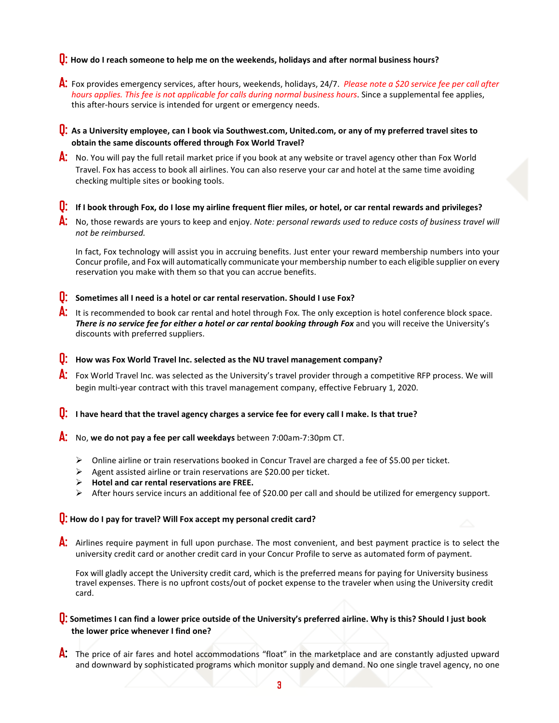#### Q: **How do I reach someone to help me on the weekends, holidays and after normal business hours?**

- A: Fox provides emergency services, after hours, weekends, holidays, 24/7. *Please note a \$20 service fee per call after hours applies. This fee is not applicable for calls during normal business hours*. Since a supplemental fee applies, this after-hours service is intended for urgent or emergency needs.
- Q: **As a University employee, can I book via Southwest.com, United.com, or any of my preferred travel sites to obtain the same discounts offered through Fox World Travel?**
- A: No. You will pay the full retail market price if you book at any website or travel agency other than Fox World Travel. Fox has access to book all airlines. You can also reserve your car and hotel at the same time avoiding checking multiple sites or booking tools.

#### Q: **If I book through Fox, do I lose my airline frequent flier miles, or hotel, or car rental rewards and privileges?**

A: No, those rewards are yours to keep and enjoy. *Note: personal rewards used to reduce costs of business travel will not be reimbursed.*

In fact, Fox technology will assist you in accruing benefits. Just enter your reward membership numbers into your Concur profile, and Fox will automatically communicate your membership number to each eligible supplier on every reservation you make with them so that you can accrue benefits.

#### Q: **Sometimes all I need is a hotel or car rental reservation. Should I use Fox?**

A: It is recommended to book car rental and hotel through Fox. The only exception is hotel conference block space. There is no service fee for either a hotel or car rental booking through Fox and you will receive the University's discounts with preferred suppliers.

#### Q: **How was Fox World Travel Inc. selected as the NU travel management company?**

- A: Fox World Travel Inc. was selected as the University's travel provider through a competitive RFP process. We will begin multi-year contract with this travel management company, effective February 1, 2020.
- Q: **I have heard that the travel agency charges a service fee for every call I make. Is that true?**
- A: No, **we do not pay a fee per call weekdays** between 7:00am-7:30pm CT.
	- $\triangleright$  Online airline or train reservations booked in Concur Travel are charged a fee of \$5.00 per ticket.
	- $\triangleright$  Agent assisted airline or train reservations are \$20.00 per ticket.
	- **Hotel and car rental reservations are FREE.**
	- $\triangleright$  After hours service incurs an additional fee of \$20.00 per call and should be utilized for emergency support.

#### Q: **How do I pay for travel? Will Fox accept my personal credit card?**

A: Airlines require payment in full upon purchase. The most convenient, and best payment practice is to select the university credit card or another credit card in your Concur Profile to serve as automated form of payment.

Fox will gladly accept the University credit card, which is the preferred means for paying for University business travel expenses. There is no upfront costs/out of pocket expense to the traveler when using the University credit card.

#### Q: **Sometimes I can find a lower price outside of the University's preferred airline. Why is this? Should I just book the lower price whenever I find one?**

A: The price of air fares and hotel accommodations "float" in the marketplace and are constantly adjusted upward and downward by sophisticated programs which monitor supply and demand. No one single travel agency, no one